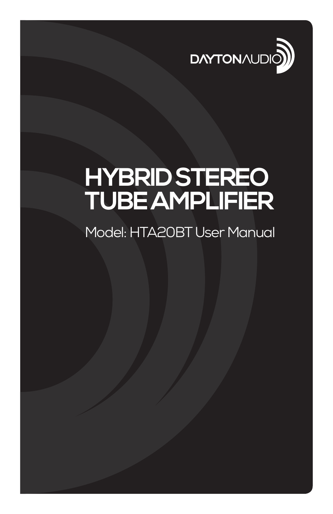

# **HYBRID STEREO TUBE AMPLIFIER**

# Model: HTA20BT User Manual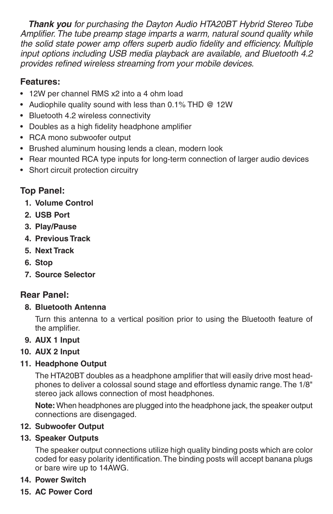*Thank you* for purchasing the Dayton Audio HTA20BT Hybrid Stereo Tube Amplifier. The tube preamp stage imparts a warm, natural sound quality while the solid state power amp offers superb audio fidelity and efficiency. Multiple input options including USB media playback are available, and Bluetooth 4.2 provides refined wireless streaming from your mobile devices.

#### **Features:**

- 12W per channel RMS x2 into a 4 ohm load
- Audiophile quality sound with less than 0.1% THD @ 12W
- Bluetooth 4.2 wireless connectivity
- Doubles as a high fidelity headphone amplifier
- RCA mono subwoofer output
- Brushed aluminum housing lends a clean, modern look
- Rear mounted RCA type inputs for long-term connection of larger audio devices
- Short circuit protection circuitry

## **Top Panel:**

- **1. Volume Control**
- **2. USB Port**
- **3. Play/Pause**
- **4. Previous Track**
- **5. Next Track**
- **6. Stop**
- **7. Source Selector**

### **Rear Panel:**

#### **8. Bluetooth Antenna**

Turn this antenna to a vertical position prior to using the Bluetooth feature of the amplifier.

#### **9. AUX 1 Input**

#### **10. AUX 2 Input**

#### **11. Headphone Output**

The HTA20BT doubles as a headphone amplifier that will easily drive most headphones to deliver a colossal sound stage and effortless dynamic range. The 1/8" stereo jack allows connection of most headphones.

**Note:** When headphones are plugged into the headphone jack, the speaker output connections are disengaged.

#### **12. Subwoofer Output**

#### **13. Speaker Outputs**

The speaker output connections utilize high quality binding posts which are color coded for easy polarity identification. The binding posts will accept banana plugs or bare wire up to 14AWG.

#### **14. Power Switch**

**15. AC Power Cord**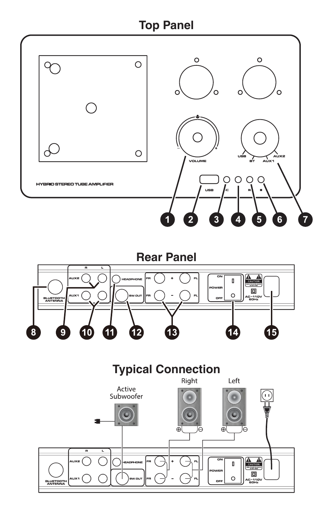

**Rear Panel**



**Typical Connection**